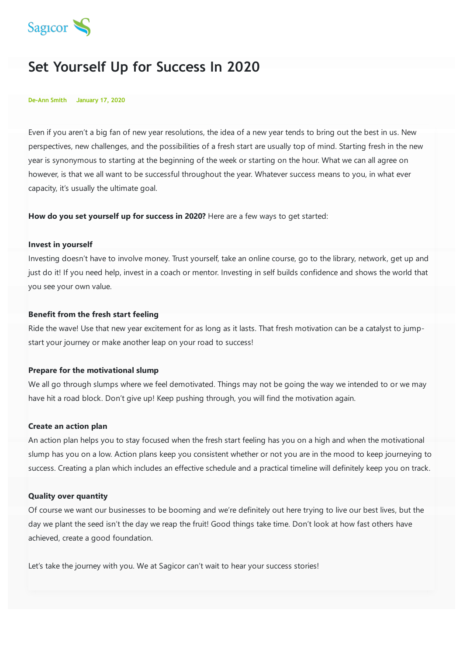

# **Set Yourself Up for Success In 2020**

#### **De-Ann Smith January 17, 2020**

Even if you aren't a big fan of new year resolutions, the idea of a new year tends to bring out the best in us. New perspectives, new challenges, and the possibilities of a fresh start are usually top of mind. Starting fresh in the new year is synonymous to starting at the beginning of the week or starting on the hour. What we can all agree on however, is that we all want to be successful throughout the year. Whatever success means to you, in what ever capacity, it's usually the ultimate goal.

**How do you set yourself up for success in 2020?** Here are a few ways to get started:

#### **Invest in yourself**

Investing doesn't have to involve money. Trust yourself, take an online course, go to the library, network, get up and just do it! If you need help, invest in a coach or mentor. Investing in self builds confidence and shows the world that you see your own value.

## **Benefit from the fresh start feeling**

Ride the wave! Use that new year excitement for as long as it lasts. That fresh motivation can be a catalyst to jumpstart your journey or make another leap on your road to success!

## **Prepare for the motivational slump**

We all go through slumps where we feel demotivated. Things may not be going the way we intended to or we may have hit a road block. Don't give up! Keep pushing through, you will find the motivation again.

### **Create an action plan**

An action plan helps you to stay focused when the fresh start feeling has you on a high and when the motivational slump has you on a low. Action plans keep you consistent whether or not you are in the mood to keep journeying to success. Creating a plan which includes an effective schedule and a practical timeline will definitely keep you on track.

#### **Quality over quantity**

Of course we want our businesses to be booming and we're definitely out here trying to live our best lives, but the day we plant the seed isn't the day we reap the fruit! Good things take time. Don't look at how fast others have achieved, create a good foundation.

Let's take the journey with you. We at Sagicor can't wait to hear your success stories!